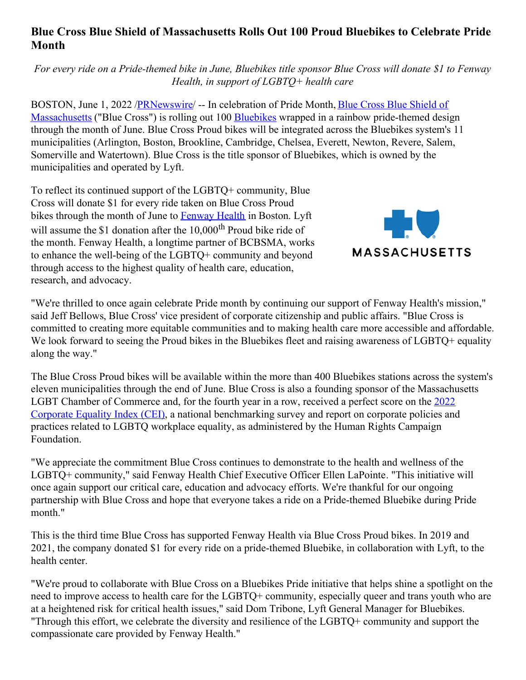## **Blue Cross Blue Shield of Massachusetts Rolls Out 100 Proud Bluebikes to Celebrate Pride Month**

For every ride on a Pride-themed bike in June, Bluebikes title sponsor Blue Cross will donate \$1 to Fenway *Health, in support of LGBTQ+ health care*

BOSTON, June 1, 2022 [/PRNewswire/](https://c212.net/c/link/?t=0&l=en&o=3553583-1&h=75449152&u=https%3A%2F%2Fwww.bluecrossma.org%2Faboutus%2F&a=Blue+Cross+Blue+Shield+of+Massachusetts) -- In celebration of Pride Month, Blue Cross Blue Shield of Massachusetts ("Blue Cross") is rolling out 100 [Bluebikes](https://c212.net/c/link/?t=0&l=en&o=3553583-1&h=2991357080&u=https%3A%2F%2Fwww.bluebikes.com%2F&a=Bluebikes) wrapped in a rainbow pride-themed design through the month of June. Blue Cross Proud bikes will be integrated across the Bluebikes system's 11 municipalities (Arlington, Boston, Brookline, Cambridge, Chelsea, Everett, Newton, Revere, Salem, Somerville and Watertown). Blue Cross is the title sponsor of Bluebikes, which is owned by the municipalities and operated by Lyft.

To reflect its continued support of the LGBTQ+ community, Blue Cross will donate \$1 for every ride taken on Blue Cross Proud bikes through the month of June to [Fenway](https://c212.net/c/link/?t=0&l=en&o=3553583-1&h=3562525487&u=https%3A%2F%2Ffenwayhealth.org%2F&a=Fenway+Health) Health in Boston. Lyft will assume the \$1 donation after the 10,000<sup>th</sup> Proud bike ride of the month. Fenway Health, a longtime partner of BCBSMA, works to enhance the well-being of the LGBTQ+ community and beyond through access to the highest quality of health care, education, research, and advocacy.



"We're thrilled to once again celebrate Pride month by continuing our support of Fenway Health's mission," said Jeff Bellows, Blue Cross' vice president of corporate citizenship and public affairs. "Blue Cross is committed to creating more equitable communities and to making health care more accessible and affordable. We look forward to seeing the Proud bikes in the Bluebikes fleet and raising awareness of LGBTQ+ equality along the way."

The Blue Cross Proud bikes will be available within the more than 400 Bluebikes stations across the system's eleven municipalities through the end of June. Blue Cross is also a founding sponsor of the Massachusetts LGBT Chamber of Commerce and, for the fourth year in a row, received a perfect score on the 2022 Corporate Equality Index (CEI), a national [benchmarking](https://c212.net/c/link/?t=0&l=en&o=3553583-1&h=3192917065&u=https%3A%2F%2Fnewsroom.bluecrossma.com%2F2022-01-27-BLUE-CROSS-BLUE-SHIELD-OF-MASSACHUSETTS-EARNS-100-ON-2022-CORPORATE-EQUALITY-INDEX&a=2022+Corporate+Equality+Index+(CEI)) survey and report on corporate policies and practices related to LGBTQ workplace equality, as administered by the Human Rights Campaign Foundation.

"We appreciate the commitment Blue Cross continues to demonstrate to the health and wellness of the LGBTQ+ community," said Fenway Health Chief Executive Officer Ellen LaPointe. "This initiative will once again support our critical care, education and advocacy efforts. We're thankful for our ongoing partnership with Blue Cross and hope that everyone takes a ride on a Pride-themed Bluebike during Pride month."

This is the third time Blue Cross has supported Fenway Health via Blue Cross Proud bikes. In 2019 and 2021, the company donated \$1 for every ride on a pride-themed Bluebike, in collaboration with Lyft, to the health center.

"We're proud to collaborate with Blue Cross on a Bluebikes Pride initiative that helps shine a spotlight on the need to improve access to health care for the LGBTQ+ community, especially queer and trans youth who are at a heightened risk for critical health issues," said Dom Tribone, Lyft General Manager for Bluebikes. "Through this effort, we celebrate the diversity and resilience of the LGBTQ+ community and support the compassionate care provided by Fenway Health."